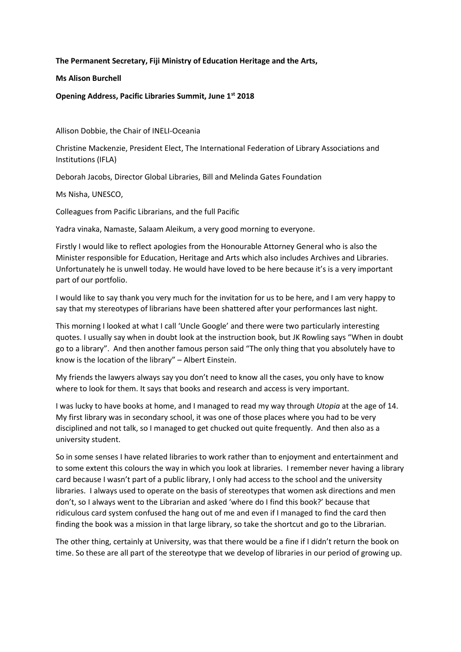**The Permanent Secretary, Fiji Ministry of Education Heritage and the Arts,**

**Ms Alison Burchell**

**Opening Address, Pacific Libraries Summit, June 1st 2018**

Allison Dobbie, the Chair of INELI-Oceania

Christine Mackenzie, President Elect, The International Federation of Library Associations and Institutions (IFLA)

Deborah Jacobs, Director Global Libraries, Bill and Melinda Gates Foundation

Ms Nisha, UNESCO,

Colleagues from Pacific Librarians, and the full Pacific

Yadra vinaka, Namaste, Salaam Aleikum, a very good morning to everyone.

Firstly I would like to reflect apologies from the Honourable Attorney General who is also the Minister responsible for Education, Heritage and Arts which also includes Archives and Libraries. Unfortunately he is unwell today. He would have loved to be here because it's is a very important part of our portfolio.

I would like to say thank you very much for the invitation for us to be here, and I am very happy to say that my stereotypes of librarians have been shattered after your performances last night.

This morning I looked at what I call 'Uncle Google' and there were two particularly interesting quotes. I usually say when in doubt look at the instruction book, but JK Rowling says "When in doubt go to a library". And then another famous person said "The only thing that you absolutely have to know is the location of the library" – Albert Einstein.

My friends the lawyers always say you don't need to know all the cases, you only have to know where to look for them. It says that books and research and access is very important.

I was lucky to have books at home, and I managed to read my way through *Utopia* at the age of 14. My first library was in secondary school, it was one of those places where you had to be very disciplined and not talk, so I managed to get chucked out quite frequently. And then also as a university student.

So in some senses I have related libraries to work rather than to enjoyment and entertainment and to some extent this colours the way in which you look at libraries. I remember never having a library card because I wasn't part of a public library, I only had access to the school and the university libraries. I always used to operate on the basis of stereotypes that women ask directions and men don't, so I always went to the Librarian and asked 'where do I find this book?' because that ridiculous card system confused the hang out of me and even if I managed to find the card then finding the book was a mission in that large library, so take the shortcut and go to the Librarian.

The other thing, certainly at University, was that there would be a fine if I didn't return the book on time. So these are all part of the stereotype that we develop of libraries in our period of growing up.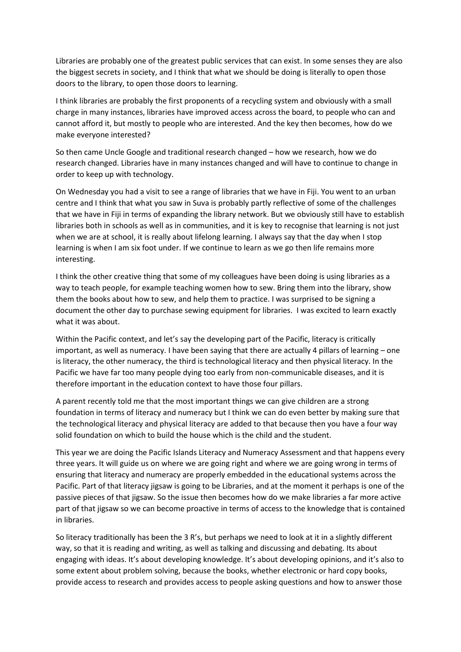Libraries are probably one of the greatest public services that can exist. In some senses they are also the biggest secrets in society, and I think that what we should be doing is literally to open those doors to the library, to open those doors to learning.

I think libraries are probably the first proponents of a recycling system and obviously with a small charge in many instances, libraries have improved access across the board, to people who can and cannot afford it, but mostly to people who are interested. And the key then becomes, how do we make everyone interested?

So then came Uncle Google and traditional research changed – how we research, how we do research changed. Libraries have in many instances changed and will have to continue to change in order to keep up with technology.

On Wednesday you had a visit to see a range of libraries that we have in Fiji. You went to an urban centre and I think that what you saw in Suva is probably partly reflective of some of the challenges that we have in Fiji in terms of expanding the library network. But we obviously still have to establish libraries both in schools as well as in communities, and it is key to recognise that learning is not just when we are at school, it is really about lifelong learning. I always say that the day when I stop learning is when I am six foot under. If we continue to learn as we go then life remains more interesting.

I think the other creative thing that some of my colleagues have been doing is using libraries as a way to teach people, for example teaching women how to sew. Bring them into the library, show them the books about how to sew, and help them to practice. I was surprised to be signing a document the other day to purchase sewing equipment for libraries. I was excited to learn exactly what it was about.

Within the Pacific context, and let's say the developing part of the Pacific, literacy is critically important, as well as numeracy. I have been saying that there are actually 4 pillars of learning – one is literacy, the other numeracy, the third is technological literacy and then physical literacy. In the Pacific we have far too many people dying too early from non-communicable diseases, and it is therefore important in the education context to have those four pillars.

A parent recently told me that the most important things we can give children are a strong foundation in terms of literacy and numeracy but I think we can do even better by making sure that the technological literacy and physical literacy are added to that because then you have a four way solid foundation on which to build the house which is the child and the student.

This year we are doing the Pacific Islands Literacy and Numeracy Assessment and that happens every three years. It will guide us on where we are going right and where we are going wrong in terms of ensuring that literacy and numeracy are properly embedded in the educational systems across the Pacific. Part of that literacy jigsaw is going to be Libraries, and at the moment it perhaps is one of the passive pieces of that jigsaw. So the issue then becomes how do we make libraries a far more active part of that jigsaw so we can become proactive in terms of access to the knowledge that is contained in libraries.

So literacy traditionally has been the 3 R's, but perhaps we need to look at it in a slightly different way, so that it is reading and writing, as well as talking and discussing and debating. Its about engaging with ideas. It's about developing knowledge. It's about developing opinions, and it's also to some extent about problem solving, because the books, whether electronic or hard copy books, provide access to research and provides access to people asking questions and how to answer those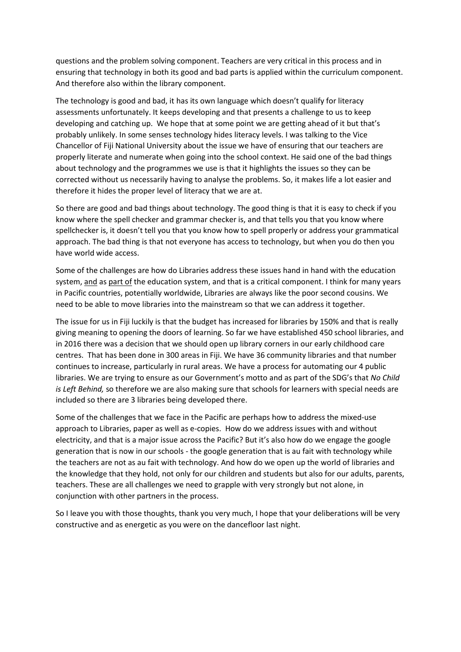questions and the problem solving component. Teachers are very critical in this process and in ensuring that technology in both its good and bad parts is applied within the curriculum component. And therefore also within the library component.

The technology is good and bad, it has its own language which doesn't qualify for literacy assessments unfortunately. It keeps developing and that presents a challenge to us to keep developing and catching up. We hope that at some point we are getting ahead of it but that's probably unlikely. In some senses technology hides literacy levels. I was talking to the Vice Chancellor of Fiji National University about the issue we have of ensuring that our teachers are properly literate and numerate when going into the school context. He said one of the bad things about technology and the programmes we use is that it highlights the issues so they can be corrected without us necessarily having to analyse the problems. So, it makes life a lot easier and therefore it hides the proper level of literacy that we are at.

So there are good and bad things about technology. The good thing is that it is easy to check if you know where the spell checker and grammar checker is, and that tells you that you know where spellchecker is, it doesn't tell you that you know how to spell properly or address your grammatical approach. The bad thing is that not everyone has access to technology, but when you do then you have world wide access.

Some of the challenges are how do Libraries address these issues hand in hand with the education system, and as part of the education system, and that is a critical component. I think for many years in Pacific countries, potentially worldwide, Libraries are always like the poor second cousins. We need to be able to move libraries into the mainstream so that we can address it together.

The issue for us in Fiji luckily is that the budget has increased for libraries by 150% and that is really giving meaning to opening the doors of learning. So far we have established 450 school libraries, and in 2016 there was a decision that we should open up library corners in our early childhood care centres. That has been done in 300 areas in Fiji. We have 36 community libraries and that number continues to increase, particularly in rural areas. We have a process for automating our 4 public libraries. We are trying to ensure as our Government's motto and as part of the SDG's that *No Child is Left Behind,* so therefore we are also making sure that schools for learners with special needs are included so there are 3 libraries being developed there.

Some of the challenges that we face in the Pacific are perhaps how to address the mixed-use approach to Libraries, paper as well as e-copies. How do we address issues with and without electricity, and that is a major issue across the Pacific? But it's also how do we engage the google generation that is now in our schools - the google generation that is au fait with technology while the teachers are not as au fait with technology. And how do we open up the world of libraries and the knowledge that they hold, not only for our children and students but also for our adults, parents, teachers. These are all challenges we need to grapple with very strongly but not alone, in conjunction with other partners in the process.

So I leave you with those thoughts, thank you very much, I hope that your deliberations will be very constructive and as energetic as you were on the dancefloor last night.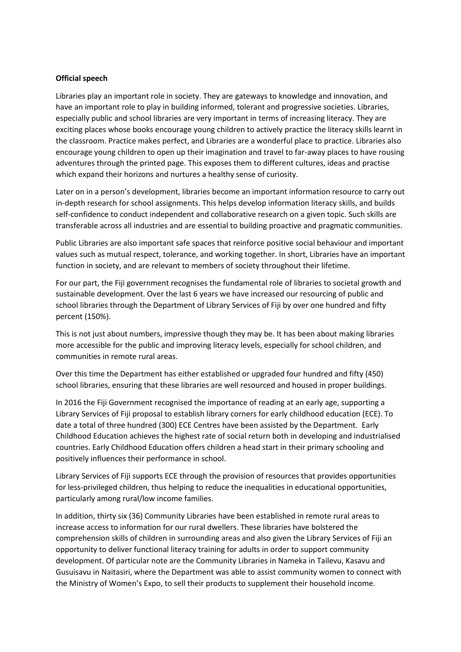## **Official speech**

Libraries play an important role in society. They are gateways to knowledge and innovation, and have an important role to play in building informed, tolerant and progressive societies. Libraries, especially public and school libraries are very important in terms of increasing literacy. They are exciting places whose books encourage young children to actively practice the literacy skills learnt in the classroom. Practice makes perfect, and Libraries are a wonderful place to practice. Libraries also encourage young children to open up their imagination and travel to far-away places to have rousing adventures through the printed page. This exposes them to different cultures, ideas and practise which expand their horizons and nurtures a healthy sense of curiosity.

Later on in a person's development, libraries become an important information resource to carry out in-depth research for school assignments. This helps develop information literacy skills, and builds self-confidence to conduct independent and collaborative research on a given topic. Such skills are transferable across all industries and are essential to building proactive and pragmatic communities.

Public Libraries are also important safe spaces that reinforce positive social behaviour and important values such as mutual respect, tolerance, and working together. In short, Libraries have an important function in society, and are relevant to members of society throughout their lifetime.

For our part, the Fiji government recognises the fundamental role of libraries to societal growth and sustainable development. Over the last 6 years we have increased our resourcing of public and school libraries through the Department of Library Services of Fiji by over one hundred and fifty percent (150%).

This is not just about numbers, impressive though they may be. It has been about making libraries more accessible for the public and improving literacy levels, especially for school children, and communities in remote rural areas.

Over this time the Department has either established or upgraded four hundred and fifty (450) school libraries, ensuring that these libraries are well resourced and housed in proper buildings.

In 2016 the Fiji Government recognised the importance of reading at an early age, supporting a Library Services of Fiji proposal to establish library corners for early childhood education (ECE). To date a total of three hundred (300) ECE Centres have been assisted by the Department. Early Childhood Education achieves the highest rate of social return both in developing and industrialised countries. Early Childhood Education offers children a head start in their primary schooling and positively influences their performance in school.

Library Services of Fiji supports ECE through the provision of resources that provides opportunities for less-privileged children, thus helping to reduce the inequalities in educational opportunities, particularly among rural/low income families.

In addition, thirty six (36) Community Libraries have been established in remote rural areas to increase access to information for our rural dwellers. These libraries have bolstered the comprehension skills of children in surrounding areas and also given the Library Services of Fiji an opportunity to deliver functional literacy training for adults in order to support community development. Of particular note are the Community Libraries in Nameka in Tailevu, Kasavu and Gusuisavu in Naitasiri, where the Department was able to assist community women to connect with the Ministry of Women's Expo, to sell their products to supplement their household income.